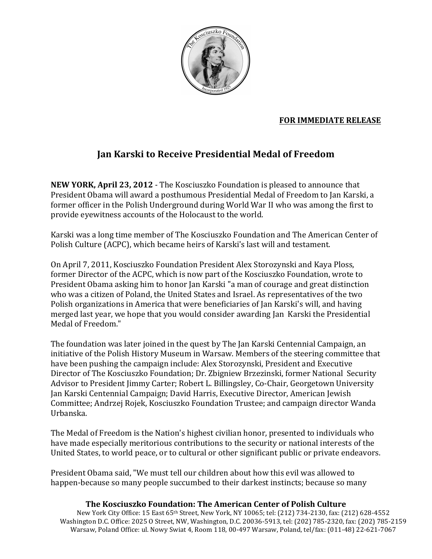

## **FOR IMMEDIATE RELEASE**

## Jan Karski to Receive Presidential Medal of Freedom

**NEW YORK, April 23, 2012** - The Kosciuszko Foundation is pleased to announce that President Obama will award a posthumous Presidential Medal of Freedom to Jan Karski, a former officer in the Polish Underground during World War II who was among the first to provide eyewitness accounts of the Holocaust to the world.

Karski was a long time member of The Kosciuszko Foundation and The American Center of Polish Culture (ACPC), which became heirs of Karski's last will and testament.

On April 7, 2011, Kosciuszko Foundation President Alex Storozynski and Kaya Ploss, former Director of the ACPC, which is now part of the Kosciuszko Foundation, wrote to President Obama asking him to honor Jan Karski "a man of courage and great distinction who was a citizen of Poland, the United States and Israel. As representatives of the two Polish organizations in America that were beneficiaries of Jan Karski's will, and having merged last year, we hope that you would consider awarding Jan Karski the Presidential Medal of Freedom."

The foundation was later joined in the quest by The Jan Karski Centennial Campaign, an initiative of the Polish History Museum in Warsaw. Members of the steering committee that have been pushing the campaign include: Alex Storozynski, President and Executive Director of The Kosciuszko Foundation; Dr. Zbigniew Brzezinski, former National Security Advisor to President Jimmy Carter; Robert L. Billingsley, Co-Chair, Georgetown University Jan Karski Centennial Campaign; David Harris, Executive Director, American Jewish Committee; Andrzej Rojek, Kosciuszko Foundation Trustee; and campaign director Wanda Urbanska.

The Medal of Freedom is the Nation's highest civilian honor, presented to individuals who have made especially meritorious contributions to the security or national interests of the United States, to world peace, or to cultural or other significant public or private endeavors.

President Obama said, "We must tell our children about how this evil was allowed to happen-because so many people succumbed to their darkest instincts; because so many

## The Kosciuszko Foundation: The American Center of Polish Culture

New York City Office: 15 East 65th Street, New York, NY 10065; tel: (212) 734-2130, fax: (212) 628-4552 Washington D.C. Office: 2025 O Street, NW, Washington, D.C. 20036-5913, tel: (202) 785-2320, fax: (202) 785-2159 Warsaw, Poland Office: ul. Nowy Swiat 4, Room 118, 00-497 Warsaw, Poland, tel/fax: (011-48) 22-621-7067